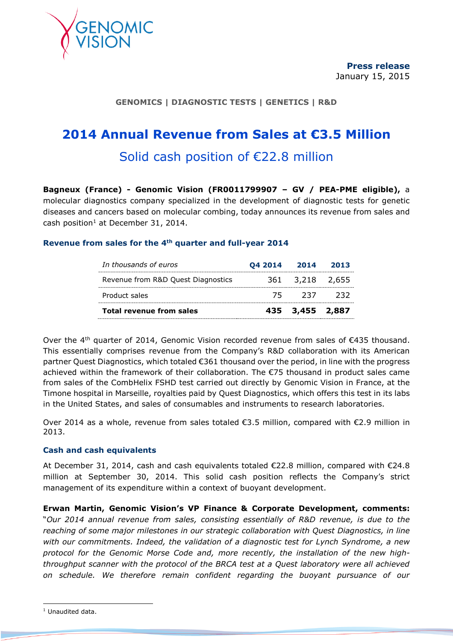

# **GENOMICS | DIAGNOSTIC TESTS | GENETICS | R&D**

# **2014 Annual Revenue from Sales at €3.5 Million**

# Solid cash position of €22.8 million

**Bagneux (France) - Genomic Vision (FR0011799907 – GV / PEA-PME eligible),** a molecular diagnostics company specialized in the development of diagnostic tests for genetic diseases and cancers based on molecular combing, today announces its revenue from sales and cash position<sup>1</sup> at December 31, 2014.

# **Revenue from sales for the 4th quarter and full-year 2014**

| In thousands of euros              | 04 2014 | 2014            | 2013 |
|------------------------------------|---------|-----------------|------|
| Revenue from R&D Quest Diagnostics |         | 361 3,218 2,655 |      |
| Product sales                      | 75      | - 237           | パイン  |
| <b>Total revenue from sales</b>    |         | 435 3,455 2,887 |      |

Over the  $4<sup>th</sup>$  quarter of 2014, Genomic Vision recorded revenue from sales of  $\epsilon$ 435 thousand. This essentially comprises revenue from the Company's R&D collaboration with its American partner Quest Diagnostics, which totaled €361 thousand over the period, in line with the progress achieved within the framework of their collaboration. The €75 thousand in product sales came from sales of the CombHelix FSHD test carried out directly by Genomic Vision in France, at the Timone hospital in Marseille, royalties paid by Quest Diagnostics, which offers this test in its labs in the United States, and sales of consumables and instruments to research laboratories.

Over 2014 as a whole, revenue from sales totaled  $\epsilon$ 3.5 million, compared with  $\epsilon$ 2.9 million in 2013.

# **Cash and cash equivalents**

At December 31, 2014, cash and cash equivalents totaled €22.8 million, compared with €24.8 million at September 30, 2014. This solid cash position reflects the Company's strict management of its expenditure within a context of buoyant development.

**Erwan Martin, Genomic Vision's VP Finance & Corporate Development, comments:** "*Our 2014 annual revenue from sales, consisting essentially of R&D revenue, is due to the reaching of some major milestones in our strategic collaboration with Quest Diagnostics, in line with our commitments. Indeed, the validation of a diagnostic test for Lynch Syndrome, a new protocol for the Genomic Morse Code and, more recently, the installation of the new highthroughput scanner with the protocol of the BRCA test at a Quest laboratory were all achieved on schedule. We therefore remain confident regarding the buoyant pursuance of our*

 $\overline{a}$ 

<sup>&</sup>lt;sup>1</sup> Unaudited data.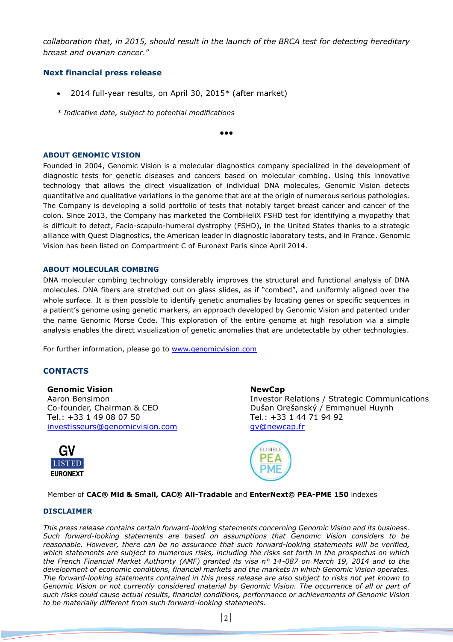*collaboration that, in 2015, should result in the launch of the BRCA test for detecting hereditary breast and ovarian cancer.*"

## **Next financial press release**

- 2014 full-year results, on April 30, 2015\* (after market)
- *\* Indicative date, subject to potential modifications*

●●●

#### **ABOUT GENOMIC VISION**

Founded in 2004, Genomic Vision is a molecular diagnostics company specialized in the development of diagnostic tests for genetic diseases and cancers based on molecular combing. Using this innovative technology that allows the direct visualization of individual DNA molecules, Genomic Vision detects quantitative and qualitative variations in the genome that are at the origin of numerous serious pathologies. The Company is developing a solid portfolio of tests that notably target breast cancer and cancer of the colon. Since 2013, the Company has marketed the CombHeliX FSHD test for identifying a myopathy that is difficult to detect, Facio-scapulo-humeral dystrophy (FSHD), in the United States thanks to a strategic alliance with Quest Diagnostics, the American leader in diagnostic laboratory tests, and in France. Genomic Vision has been listed on Compartment C of Euronext Paris since April 2014.

#### **ABOUT MOLECULAR COMBING**

DNA molecular combing technology considerably improves the structural and functional analysis of DNA molecules. DNA fibers are stretched out on glass slides, as if "combed", and uniformly aligned over the whole surface. It is then possible to identify genetic anomalies by locating genes or specific sequences in a patient's genome using genetic markers, an approach developed by Genomic Vision and patented under the name Genomic Morse Code. This exploration of the entire genome at high resolution via a simple analysis enables the direct visualization of genetic anomalies that are undetectable by other technologies.

For further information, please go to [www.genomicvision.com](http://www.genomicvision.com/)

# **CONTACTS**

## **Genomic Vision**

Aaron Bensimon Co-founder, Chairman & CEO Tel.: +33 1 49 08 07 50 [investisseurs@genomicvision.com](mailto:investisseurs@genomicvision.com)



**NewCap**

Investor Relations / Strategic Communications Dušan Orešanský / Emmanuel Huynh Tel.: +33 1 44 71 94 92 [gv@newcap.fr](mailto:gv@newcap.fr)



Member of **CAC® Mid & Small, CAC® All-Tradable** and **EnterNext© PEA-PME 150** indexes

#### **DISCLAIMER**

*This press release contains certain forward-looking statements concerning Genomic Vision and its business. Such forward-looking statements are based on assumptions that Genomic Vision considers to be reasonable. However, there can be no assurance that such forward-looking statements will be verified, which statements are subject to numerous risks, including the risks set forth in the prospectus on which the French Financial Market Authority (AMF) granted its visa n° 14-087 on March 19, 2014 and to the development of economic conditions, financial markets and the markets in which Genomic Vision operates. The forward-looking statements contained in this press release are also subject to risks not yet known to Genomic Vision or not currently considered material by Genomic Vision. The occurrence of all or part of such risks could cause actual results, financial conditions, performance or achievements of Genomic Vision to be materially different from such forward-looking statements.*